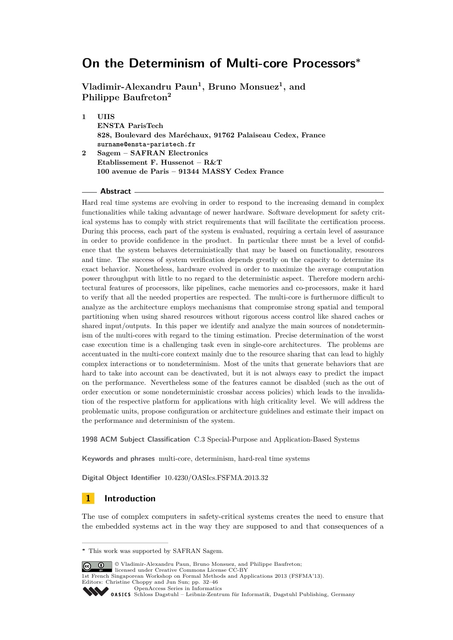**Vladimir-Alexandru Paun<sup>1</sup> , Bruno Monsuez<sup>1</sup> , and Philippe Baufreton<sup>2</sup>**

**1 UIIS ENSTA ParisTech 828, Boulevard des Maréchaux, 91762 Palaiseau Cedex, France surname@ensta-paristech.fr 2 Sagem – SAFRAN Electronics Etablissement F. Hussenot – R&T**

# **100 avenue de Paris – 91344 MASSY Cedex France**

#### **Abstract**

Hard real time systems are evolving in order to respond to the increasing demand in complex functionalities while taking advantage of newer hardware. Software development for safety critical systems has to comply with strict requirements that will facilitate the certification process. During this process, each part of the system is evaluated, requiring a certain level of assurance in order to provide confidence in the product. In particular there must be a level of confidence that the system behaves deterministically that may be based on functionality, resources and time. The success of system verification depends greatly on the capacity to determine its exact behavior. Nonetheless, hardware evolved in order to maximize the average computation power throughput with little to no regard to the deterministic aspect. Therefore modern architectural features of processors, like pipelines, cache memories and co-processors, make it hard to verify that all the needed properties are respected. The multi-core is furthermore difficult to analyze as the architecture employs mechanisms that compromise strong spatial and temporal partitioning when using shared resources without rigorous access control like shared caches or shared input/outputs. In this paper we identify and analyze the main sources of nondeterminism of the multi-cores with regard to the timing estimation. Precise determination of the worst case execution time is a challenging task even in single-core architectures. The problems are accentuated in the multi-core context mainly due to the resource sharing that can lead to highly complex interactions or to nondeterminism. Most of the units that generate behaviors that are hard to take into account can be deactivated, but it is not always easy to predict the impact on the performance. Nevertheless some of the features cannot be disabled (such as the out of order execution or some nondeterministic crossbar access policies) which leads to the invalidation of the respective platform for applications with high criticality level. We will address the problematic units, propose configuration or architecture guidelines and estimate their impact on the performance and determinism of the system.

**1998 ACM Subject Classification** C.3 Special-Purpose and Application-Based Systems

**Keywords and phrases** multi-core, determinism, hard-real time systems

**Digital Object Identifier** [10.4230/OASIcs.FSFMA.2013.32](http://dx.doi.org/10.4230/OASIcs.FSFMA.2013.32)

# **1 Introduction**

The use of complex computers in safety-critical systems creates the need to ensure that the embedded systems act in the way they are supposed to and that consequences of a

**C**  $\bullet$   $\bullet$  Vladimir-Alexandru Paun, Bruno Monsuez, and Philippe Baufreton; licensed under Creative Commons License CC-BY

Editors: Christine Choppy and Jun Sun; pp. 32[–46](#page-14-0) [OpenAccess Series in Informatics](http://www.dagstuhl.de/oasics/)

**<sup>∗</sup>** This work was supported by SAFRAN Sagem.

<sup>1</sup>st French Singaporean Workshop on Formal Methods and Applications 2013 (FSFMA'13).

[Schloss Dagstuhl – Leibniz-Zentrum für Informatik, Dagstuhl Publishing, Germany](http://www.dagstuhl.de/)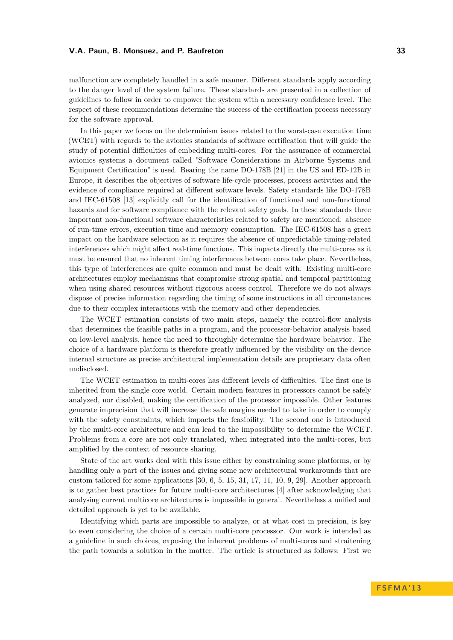malfunction are completely handled in a safe manner. Different standards apply according to the danger level of the system failure. These standards are presented in a collection of guidelines to follow in order to empower the system with a necessary confidence level. The respect of these recommendations determine the success of the certification process necessary for the software approval.

In this paper we focus on the determinism issues related to the worst-case execution time (WCET) with regards to the avionics standards of software certification that will guide the study of potential difficulties of embedding multi-cores. For the assurance of commercial avionics systems a document called "Software Considerations in Airborne Systems and Equipment Certification" is used. Bearing the name DO-178B [\[21\]](#page-14-1) in the US and ED-12B in Europe, it describes the objectives of software life-cycle processes, process activities and the evidence of compliance required at different software levels. Safety standards like DO-178B and IEC-61508 [\[13\]](#page-13-0) explicitly call for the identification of functional and non-functional hazards and for software compliance with the relevant safety goals. In these standards three important non-functional software characteristics related to safety are mentioned: absence of run-time errors, execution time and memory consumption. The IEC-61508 has a great impact on the hardware selection as it requires the absence of unpredictable timing-related interferences which might affect real-time functions. This impacts directly the multi-cores as it must be ensured that no inherent timing interferences between cores take place. Nevertheless, this type of interferences are quite common and must be dealt with. Existing multi-core architectures employ mechanisms that compromise strong spatial and temporal partitioning when using shared resources without rigorous access control. Therefore we do not always dispose of precise information regarding the timing of some instructions in all circumstances due to their complex interactions with the memory and other dependencies.

The WCET estimation consists of two main steps, namely the control-flow analysis that determines the feasible paths in a program, and the processor-behavior analysis based on low-level analysis, hence the need to throughly determine the hardware behavior. The choice of a hardware platform is therefore greatly influenced by the visibility on the device internal structure as precise architectural implementation details are proprietary data often undisclosed.

The WCET estimation in multi-cores has different levels of difficulties. The first one is inherited from the single core world. Certain modern features in processors cannot be safely analyzed, nor disabled, making the certification of the processor impossible. Other features generate imprecision that will increase the safe margins needed to take in order to comply with the safety constraints, which impacts the feasibility. The second one is introduced by the multi-core architecture and can lead to the impossibility to determine the WCET. Problems from a core are not only translated, when integrated into the multi-cores, but amplified by the context of resource sharing.

State of the art works deal with this issue either by constraining some platforms, or by handling only a part of the issues and giving some new architectural workarounds that are custom tailored for some applications  $[30, 6, 5, 15, 31, 17, 11, 10, 9, 29]$  $[30, 6, 5, 15, 31, 17, 11, 10, 9, 29]$  $[30, 6, 5, 15, 31, 17, 11, 10, 9, 29]$  $[30, 6, 5, 15, 31, 17, 11, 10, 9, 29]$  $[30, 6, 5, 15, 31, 17, 11, 10, 9, 29]$  $[30, 6, 5, 15, 31, 17, 11, 10, 9, 29]$  $[30, 6, 5, 15, 31, 17, 11, 10, 9, 29]$  $[30, 6, 5, 15, 31, 17, 11, 10, 9, 29]$  $[30, 6, 5, 15, 31, 17, 11, 10, 9, 29]$  $[30, 6, 5, 15, 31, 17, 11, 10, 9, 29]$  $[30, 6, 5, 15, 31, 17, 11, 10, 9, 29]$  $[30, 6, 5, 15, 31, 17, 11, 10, 9, 29]$  $[30, 6, 5, 15, 31, 17, 11, 10, 9, 29]$  $[30, 6, 5, 15, 31, 17, 11, 10, 9, 29]$  $[30, 6, 5, 15, 31, 17, 11, 10, 9, 29]$  $[30, 6, 5, 15, 31, 17, 11, 10, 9, 29]$  $[30, 6, 5, 15, 31, 17, 11, 10, 9, 29]$  $[30, 6, 5, 15, 31, 17, 11, 10, 9, 29]$  $[30, 6, 5, 15, 31, 17, 11, 10, 9, 29]$ . Another approach is to gather best practices for future multi-core architectures [\[4\]](#page-13-8) after acknowledging that analysing current multicore architectures is impossible in general. Nevertheless a unified and detailed approach is yet to be available.

Identifying which parts are impossible to analyze, or at what cost in precision, is key to even considering the choice of a certain multi-core processor. Our work is intended as a guideline in such choices, exposing the inherent problems of multi-cores and straitening the path towards a solution in the matter. The article is structured as follows: First we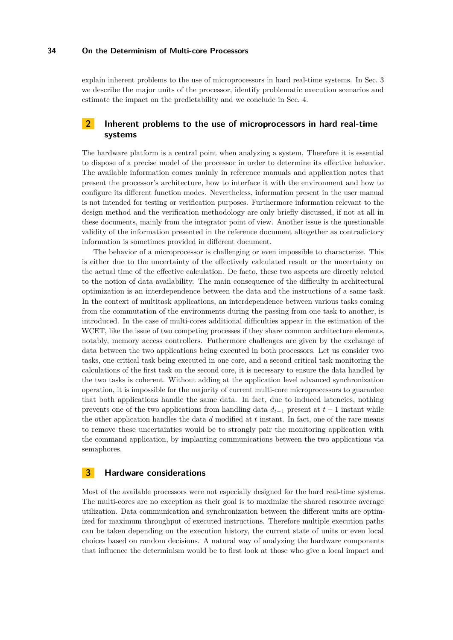explain inherent problems to the use of microprocessors in hard real-time systems. In Sec. [3](#page-2-0) we describe the major units of the processor, identify problematic execution scenarios and estimate the impact on the predictability and we conclude in Sec. [4.](#page-12-0)

# **2 Inherent problems to the use of microprocessors in hard real-time systems**

The hardware platform is a central point when analyzing a system. Therefore it is essential to dispose of a precise model of the processor in order to determine its effective behavior. The available information comes mainly in reference manuals and application notes that present the processor's architecture, how to interface it with the environment and how to configure its different function modes. Nevertheless, information present in the user manual is not intended for testing or verification purposes. Furthermore information relevant to the design method and the verification methodology are only briefly discussed, if not at all in these documents, mainly from the integrator point of view. Another issue is the questionable validity of the information presented in the reference document altogether as contradictory information is sometimes provided in different document.

The behavior of a microprocessor is challenging or even impossible to characterize. This is either due to the uncertainty of the effectively calculated result or the uncertainty on the actual time of the effective calculation. De facto, these two aspects are directly related to the notion of data availability. The main consequence of the difficulty in architectural optimization is an interdependence between the data and the instructions of a same task. In the context of multitask applications, an interdependence between various tasks coming from the commutation of the environments during the passing from one task to another, is introduced. In the case of multi-cores additional difficulties appear in the estimation of the WCET, like the issue of two competing processes if they share common architecture elements, notably, memory access controllers. Futhermore challenges are given by the exchange of data between the two applications being executed in both processors. Let us consider two tasks, one critical task being executed in one core, and a second critical task monitoring the calculations of the first task on the second core, it is necessary to ensure the data handled by the two tasks is coherent. Without adding at the application level advanced synchronization operation, it is impossible for the majority of current multi-core microprocessors to guarantee that both applications handle the same data. In fact, due to induced latencies, nothing prevents one of the two applications from handling data  $d_{t-1}$  present at  $t-1$  instant while the other application handles the data *d* modified at *t* instant. In fact, one of the rare means to remove these uncertainties would be to strongly pair the monitoring application with the command application, by implanting communications between the two applications via semaphores.

# <span id="page-2-0"></span>**3 Hardware considerations**

Most of the available processors were not especially designed for the hard real-time systems. The multi-cores are no exception as their goal is to maximize the shared resource average utilization. Data communication and synchronization between the different units are optimized for maximum throughput of executed instructions. Therefore multiple execution paths can be taken depending on the execution history, the current state of units or even local choices based on random decisions. A natural way of analyzing the hardware components that influence the determinism would be to first look at those who give a local impact and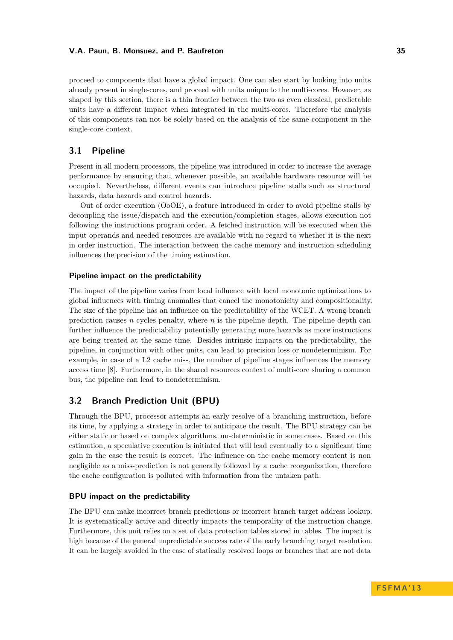proceed to components that have a global impact. One can also start by looking into units already present in single-cores, and proceed with units unique to the multi-cores. However, as shaped by this section, there is a thin frontier between the two as even classical, predictable units have a different impact when integrated in the multi-cores. Therefore the analysis of this components can not be solely based on the analysis of the same component in the single-core context.

# **3.1 Pipeline**

Present in all modern processors, the pipeline was introduced in order to increase the average performance by ensuring that, whenever possible, an available hardware resource will be occupied. Nevertheless, different events can introduce pipeline stalls such as structural hazards, data hazards and control hazards.

Out of order execution (OoOE), a feature introduced in order to avoid pipeline stalls by decoupling the issue/dispatch and the execution/completion stages, allows execution not following the instructions program order. A fetched instruction will be executed when the input operands and needed resources are available with no regard to whether it is the next in order instruction. The interaction between the cache memory and instruction scheduling influences the precision of the timing estimation.

#### **Pipeline impact on the predictability**

The impact of the pipeline varies from local influence with local monotonic optimizations to global influences with timing anomalies that cancel the monotonicity and compositionality. The size of the pipeline has an influence on the predictability of the WCET. A wrong branch prediction causes *n* cycles penalty, where *n* is the pipeline depth. The pipeline depth can further influence the predictability potentially generating more hazards as more instructions are being treated at the same time. Besides intrinsic impacts on the predictability, the pipeline, in conjunction with other units, can lead to precision loss or nondeterminism. For example, in case of a L2 cache miss, the number of pipeline stages influences the memory access time [\[8\]](#page-13-9). Furthermore, in the shared resources context of multi-core sharing a common bus, the pipeline can lead to nondeterminism.

## **3.2 Branch Prediction Unit (BPU)**

Through the BPU, processor attempts an early resolve of a branching instruction, before its time, by applying a strategy in order to anticipate the result. The BPU strategy can be either static or based on complex algorithms, un-deterministic in some cases. Based on this estimation, a speculative execution is initiated that will lead eventually to a significant time gain in the case the result is correct. The influence on the cache memory content is non negligible as a miss-prediction is not generally followed by a cache reorganization, therefore the cache configuration is polluted with information from the untaken path.

#### **BPU impact on the predictability**

The BPU can make incorrect branch predictions or incorrect branch target address lookup. It is systematically active and directly impacts the temporality of the instruction change. Furthermore, this unit relies on a set of data protection tables stored in tables. The impact is high because of the general unpredictable success rate of the early branching target resolution. It can be largely avoided in the case of statically resolved loops or branches that are not data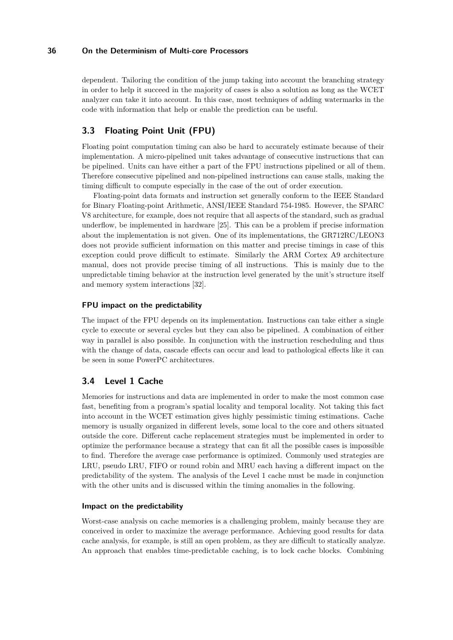dependent. Tailoring the condition of the jump taking into account the branching strategy in order to help it succeed in the majority of cases is also a solution as long as the WCET analyzer can take it into account. In this case, most techniques of adding watermarks in the code with information that help or enable the prediction can be useful.

# **3.3 Floating Point Unit (FPU)**

Floating point computation timing can also be hard to accurately estimate because of their implementation. A micro-pipelined unit takes advantage of consecutive instructions that can be pipelined. Units can have either a part of the FPU instructions pipelined or all of them. Therefore consecutive pipelined and non-pipelined instructions can cause stalls, making the timing difficult to compute especially in the case of the out of order execution.

Floating-point data formats and instruction set generally conform to the IEEE Standard for Binary Floating-point Arithmetic, ANSI/IEEE Standard 754-1985. However, the SPARC V8 architecture, for example, does not require that all aspects of the standard, such as gradual underflow, be implemented in hardware [\[25\]](#page-14-5). This can be a problem if precise information about the implementation is not given. One of its implementations, the GR712RC/LEON3 does not provide sufficient information on this matter and precise timings in case of this exception could prove difficult to estimate. Similarly the ARM Cortex A9 architecture manual, does not provide precise timing of all instructions. This is mainly due to the unpredictable timing behavior at the instruction level generated by the unit's structure itself and memory system interactions [32].

### **FPU impact on the predictability**

The impact of the FPU depends on its implementation. Instructions can take either a single cycle to execute or several cycles but they can also be pipelined. A combination of either way in parallel is also possible. In conjunction with the instruction rescheduling and thus with the change of data, cascade effects can occur and lead to pathological effects like it can be seen in some PowerPC architectures.

# **3.4 Level 1 Cache**

Memories for instructions and data are implemented in order to make the most common case fast, benefiting from a program's spatial locality and temporal locality. Not taking this fact into account in the WCET estimation gives highly pessimistic timing estimations. Cache memory is usually organized in different levels, some local to the core and others situated outside the core. Different cache replacement strategies must be implemented in order to optimize the performance because a strategy that can fit all the possible cases is impossible to find. Therefore the average case performance is optimized. Commonly used strategies are LRU, pseudo LRU, FIFO or round robin and MRU each having a different impact on the predictability of the system. The analysis of the Level 1 cache must be made in conjunction with the other units and is discussed within the timing anomalies in the following.

### **Impact on the predictability**

Worst-case analysis on cache memories is a challenging problem, mainly because they are conceived in order to maximize the average performance. Achieving good results for data cache analysis, for example, is still an open problem, as they are difficult to statically analyze. An approach that enables time-predictable caching, is to lock cache blocks. Combining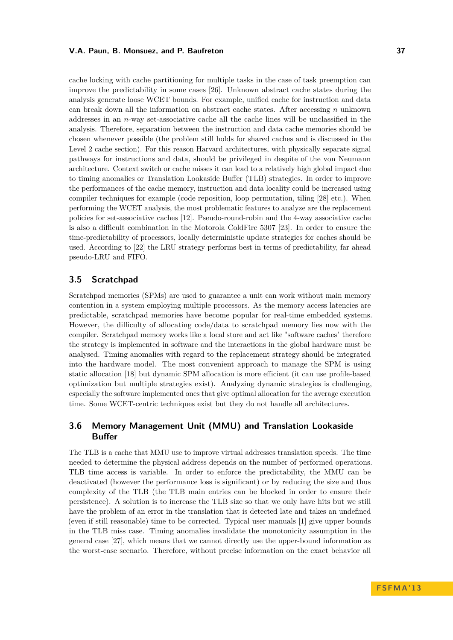cache locking with cache partitioning for multiple tasks in the case of task preemption can improve the predictability in some cases [\[26\]](#page-14-6). Unknown abstract cache states during the analysis generate loose WCET bounds. For example, unified cache for instruction and data can break down all the information on abstract cache states. After accessing *n* unknown addresses in an *n*-way set-associative cache all the cache lines will be unclassified in the analysis. Therefore, separation between the instruction and data cache memories should be chosen whenever possible (the problem still holds for shared caches and is discussed in the Level 2 cache section). For this reason Harvard architectures, with physically separate signal pathways for instructions and data, should be privileged in despite of the von Neumann architecture. Context switch or cache misses it can lead to a relatively high global impact due to timing anomalies or Translation Lookaside Buffer (TLB) strategies. In order to improve the performances of the cache memory, instruction and data locality could be increased using compiler techniques for example (code reposition, loop permutation, tiling [\[28\]](#page-14-7) etc.). When performing the WCET analysis, the most problematic features to analyze are the replacement policies for set-associative caches [\[12\]](#page-13-10). Pseudo-round-robin and the 4-way associative cache is also a difficult combination in the Motorola ColdFire 5307 [\[23\]](#page-14-8). In order to ensure the time-predictability of processors, locally deterministic update strategies for caches should be used. According to [\[22\]](#page-14-9) the LRU strategy performs best in terms of predictability, far ahead pseudo-LRU and FIFO.

# **3.5 Scratchpad**

Scratchpad memories (SPMs) are used to guarantee a unit can work without main memory contention in a system employing multiple processors. As the memory access latencies are predictable, scratchpad memories have become popular for real-time embedded systems. However, the difficulty of allocating code/data to scratchpad memory lies now with the compiler. Scratchpad memory works like a local store and act like "software caches" therefore the strategy is implemented in software and the interactions in the global hardware must be analysed. Timing anomalies with regard to the replacement strategy should be integrated into the hardware model. The most convenient approach to manage the SPM is using static allocation [\[18\]](#page-14-10) but dynamic SPM allocation is more efficient (it can use profile-based optimization but multiple strategies exist). Analyzing dynamic strategies is challenging, especially the software implemented ones that give optimal allocation for the average execution time. Some WCET-centric techniques exist but they do not handle all architectures.

# **3.6 Memory Management Unit (MMU) and Translation Lookaside Buffer**

The TLB is a cache that MMU use to improve virtual addresses translation speeds. The time needed to determine the physical address depends on the number of performed operations. TLB time access is variable. In order to enforce the predictability, the MMU can be deactivated (however the performance loss is significant) or by reducing the size and thus complexity of the TLB (the TLB main entries can be blocked in order to ensure their persistence). A solution is to increase the TLB size so that we only have hits but we still have the problem of an error in the translation that is detected late and takes an undefined (even if still reasonable) time to be corrected. Typical user manuals [\[1\]](#page-13-11) give upper bounds in the TLB miss case. Timing anomalies invalidate the monotonicity assumption in the general case [\[27\]](#page-14-11), which means that we cannot directly use the upper-bound information as the worst-case scenario. Therefore, without precise information on the exact behavior all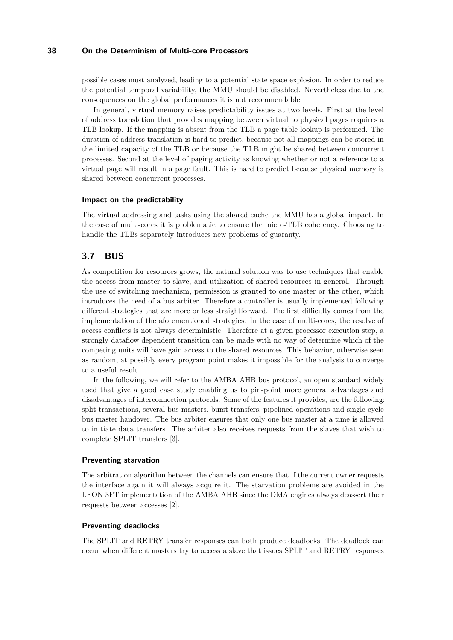possible cases must analyzed, leading to a potential state space explosion. In order to reduce the potential temporal variability, the MMU should be disabled. Nevertheless due to the consequences on the global performances it is not recommendable.

In general, virtual memory raises predictability issues at two levels. First at the level of address translation that provides mapping between virtual to physical pages requires a TLB lookup. If the mapping is absent from the TLB a page table lookup is performed. The duration of address translation is hard-to-predict, because not all mappings can be stored in the limited capacity of the TLB or because the TLB might be shared between concurrent processes. Second at the level of paging activity as knowing whether or not a reference to a virtual page will result in a page fault. This is hard to predict because physical memory is shared between concurrent processes.

#### **Impact on the predictability**

The virtual addressing and tasks using the shared cache the MMU has a global impact. In the case of multi-cores it is problematic to ensure the micro-TLB coherency. Choosing to handle the TLBs separately introduces new problems of guaranty.

# **3.7 BUS**

As competition for resources grows, the natural solution was to use techniques that enable the access from master to slave, and utilization of shared resources in general. Through the use of switching mechanism, permission is granted to one master or the other, which introduces the need of a bus arbiter. Therefore a controller is usually implemented following different strategies that are more or less straightforward. The first difficulty comes from the implementation of the aforementioned strategies. In the case of multi-cores, the resolve of access conflicts is not always deterministic. Therefore at a given processor execution step, a strongly dataflow dependent transition can be made with no way of determine which of the competing units will have gain access to the shared resources. This behavior, otherwise seen as random, at possibly every program point makes it impossible for the analysis to converge to a useful result.

In the following, we will refer to the AMBA AHB bus protocol, an open standard widely used that give a good case study enabling us to pin-point more general advantages and disadvantages of interconnection protocols. Some of the features it provides, are the following: split transactions, several bus masters, burst transfers, pipelined operations and single-cycle bus master handover. The bus arbiter ensures that only one bus master at a time is allowed to initiate data transfers. The arbiter also receives requests from the slaves that wish to complete SPLIT transfers [\[3\]](#page-13-12).

#### **Preventing starvation**

The arbitration algorithm between the channels can ensure that if the current owner requests the interface again it will always acquire it. The starvation problems are avoided in the LEON 3FT implementation of the AMBA AHB since the DMA engines always deassert their requests between accesses [\[2\]](#page-13-13).

#### **Preventing deadlocks**

The SPLIT and RETRY transfer responses can both produce deadlocks. The deadlock can occur when different masters try to access a slave that issues SPLIT and RETRY responses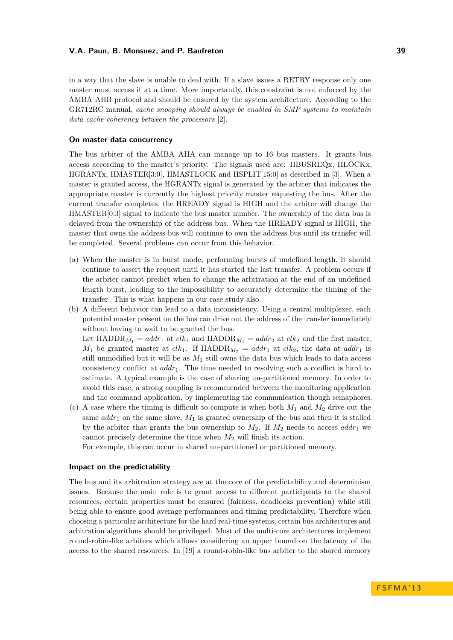in a way that the slave is unable to deal with. If a slave issues a RETRY response only one master must access it at a time. More importantly, this constraint is not enforced by the AMBA AHB protocol and should be ensured by the system architecture. According to the GR712RC manual, *cache snooping should always be enabled in SMP systems to maintain data cache coherency between the processors* [\[2\]](#page-13-13).

#### **On master data concurrency**

The bus arbiter of the AMBA AHA can manage up to 16 bus masters. It grants bus access according to the master's priority. The signals used are: HBUSREQx, HLOCKx, HGRANTx, HMASTER[3:0], HMASTLOCK and HSPLIT[15:0] as described in [3]. When a master is granted access, the HGRANTx signal is generated by the arbiter that indicates the appropriate master is currently the highest priority master requesting the bus. After the current transfer completes, the HREADY signal is HIGH and the arbiter will change the HMASTER[0:3] signal to indicate the bus master number. The ownership of the data bus is delayed from the ownership of the address bus. When the HREADY signal is HIGH, the master that owns the address bus will continue to own the address bus until its transfer will be completed. Several problems can occur from this behavior.

- (a) When the master is in burst mode, performing bursts of undefined length, it should continue to assert the request until it has started the last transfer. A problem occurs if the arbiter cannot predict when to change the arbitration at the end of an undefined length burst, leading to the impossibility to accurately determine the timing of the transfer. This is what happens in our case study also.
- (b) A different behavior can lead to a data inconsistency. Using a central multiplexer, each potential master present on the bus can drive out the address of the transfer immediately without having to wait to be granted the bus.

Let HADDR<sub>*M*1</sub> =  $addr_1$  at  $clk_1$  and HADDR<sub>*M*1</sub> =  $addr_2$  at  $clk_2$  and the first master,  $M_1$  be granted master at *clk*<sub>1</sub>. If HADDR<sub>*M*2</sub> = *addr*<sub>1</sub> at *clk*<sub>2</sub>, the data at *addr*<sub>1</sub> is still unmodified but it will be as  $M_1$  still owns the data bus which leads to data access consistency conflict at *addr*1. The time needed to resolving such a conflict is hard to estimate. A typical example is the case of sharing un-partitioned memory. In order to avoid this case, a strong coupling is recommended between the monitoring application and the command application, by implementing the communication though semaphores.

(c) A case where the timing is difficult to compute is when both  $M_1$  and  $M_2$  drive out the same  $addr_1$  on the same slave,  $M_1$  is granted ownership of the bus and then it is stalled by the arbiter that grants the bus ownership to  $M_2$ . If  $M_2$  needs to access  $addr_1$  we cannot precisely determine the time when *M*<sup>2</sup> will finish its action.

For example, this can occur in shared un-partitioned or partitioned memory.

#### **Impact on the predictability**

The bus and its arbitration strategy are at the core of the predictability and determinism issues. Because the main role is to grant access to different participants to the shared resources, certain properties must be ensured (fairness, deadlocks prevention) while still being able to ensure good average performances and timing predictability. Therefore when choosing a particular architecture for the hard real-time systems, certain bus architectures and arbitration algorithms should be privileged. Most of the multi-core architectures implement round-robin-like arbiters which allows considering an upper bound on the latency of the access to the shared resources. In [\[19\]](#page-14-12) a round-robin-like bus arbiter to the shared memory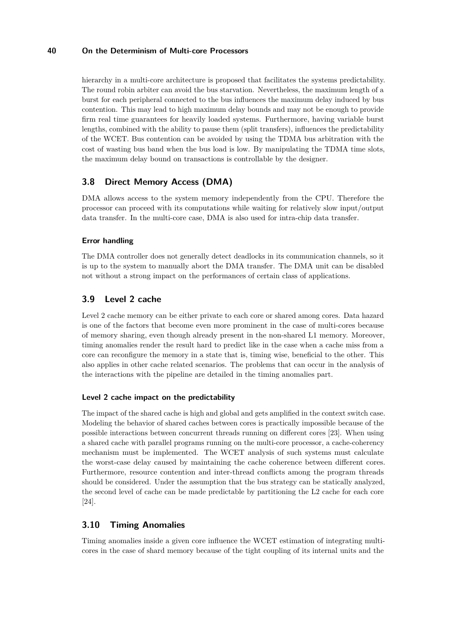hierarchy in a multi-core architecture is proposed that facilitates the systems predictability. The round robin arbiter can avoid the bus starvation. Nevertheless, the maximum length of a burst for each peripheral connected to the bus influences the maximum delay induced by bus contention. This may lead to high maximum delay bounds and may not be enough to provide firm real time guarantees for heavily loaded systems. Furthermore, having variable burst lengths, combined with the ability to pause them (split transfers), influences the predictability of the WCET. Bus contention can be avoided by using the TDMA bus arbitration with the cost of wasting bus band when the bus load is low. By manipulating the TDMA time slots, the maximum delay bound on transactions is controllable by the designer.

# **3.8 Direct Memory Access (DMA)**

DMA allows access to the system memory independently from the CPU. Therefore the processor can proceed with its computations while waiting for relatively slow input/output data transfer. In the multi-core case, DMA is also used for intra-chip data transfer.

## **Error handling**

The DMA controller does not generally detect deadlocks in its communication channels, so it is up to the system to manually abort the DMA transfer. The DMA unit can be disabled not without a strong impact on the performances of certain class of applications.

# **3.9 Level 2 cache**

Level 2 cache memory can be either private to each core or shared among cores. Data hazard is one of the factors that become even more prominent in the case of multi-cores because of memory sharing, even though already present in the non-shared L1 memory. Moreover, timing anomalies render the result hard to predict like in the case when a cache miss from a core can reconfigure the memory in a state that is, timing wise, beneficial to the other. This also applies in other cache related scenarios. The problems that can occur in the analysis of the interactions with the pipeline are detailed in the timing anomalies part.

#### **Level 2 cache impact on the predictability**

The impact of the shared cache is high and global and gets amplified in the context switch case. Modeling the behavior of shared caches between cores is practically impossible because of the possible interactions between concurrent threads running on different cores [\[23\]](#page-14-8). When using a shared cache with parallel programs running on the multi-core processor, a cache-coherency mechanism must be implemented. The WCET analysis of such systems must calculate the worst-case delay caused by maintaining the cache coherence between different cores. Furthermore, resource contention and inter-thread conflicts among the program threads should be considered. Under the assumption that the bus strategy can be statically analyzed, the second level of cache can be made predictable by partitioning the L2 cache for each core [\[24\]](#page-14-13).

## **3.10 Timing Anomalies**

Timing anomalies inside a given core influence the WCET estimation of integrating multicores in the case of shard memory because of the tight coupling of its internal units and the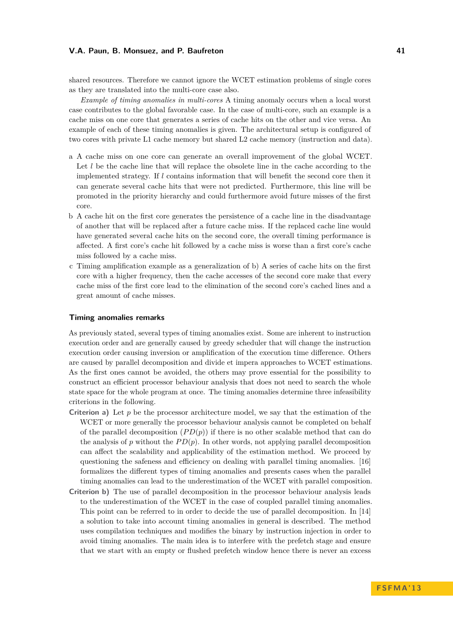shared resources. Therefore we cannot ignore the WCET estimation problems of single cores as they are translated into the multi-core case also.

*Example of timing anomalies in multi-cores* A timing anomaly occurs when a local worst case contributes to the global favorable case. In the case of multi-core, such an example is a cache miss on one core that generates a series of cache hits on the other and vice versa. An example of each of these timing anomalies is given. The architectural setup is configured of two cores with private L1 cache memory but shared L2 cache memory (instruction and data).

- a A cache miss on one core can generate an overall improvement of the global WCET. Let *l* be the cache line that will replace the obsolete line in the cache according to the implemented strategy. If *l* contains information that will benefit the second core then it can generate several cache hits that were not predicted. Furthermore, this line will be promoted in the priority hierarchy and could furthermore avoid future misses of the first core.
- b A cache hit on the first core generates the persistence of a cache line in the disadvantage of another that will be replaced after a future cache miss. If the replaced cache line would have generated several cache hits on the second core, the overall timing performance is affected. A first core's cache hit followed by a cache miss is worse than a first core's cache miss followed by a cache miss.
- c Timing amplification example as a generalization of b) A series of cache hits on the first core with a higher frequency, then the cache accesses of the second core make that every cache miss of the first core lead to the elimination of the second core's cached lines and a great amount of cache misses.

#### **Timing anomalies remarks**

As previously stated, several types of timing anomalies exist. Some are inherent to instruction execution order and are generally caused by greedy scheduler that will change the instruction execution order causing inversion or amplification of the execution time difference. Others are caused by parallel decomposition and divide et impera approaches to WCET estimations. As the first ones cannot be avoided, the others may prove essential for the possibility to construct an efficient processor behaviour analysis that does not need to search the whole state space for the whole program at once. The timing anomalies determine three infeasibility criterions in the following.

- **Criterion a)** Let *p* be the processor architecture model, we say that the estimation of the WCET or more generally the processor behaviour analysis cannot be completed on behalf of the parallel decomposition  $(PD(p))$  if there is no other scalable method that can do the analysis of  $p$  without the  $PD(p)$ . In other words, not applying parallel decomposition can affect the scalability and applicability of the estimation method. We proceed by questioning the safeness and efficiency on dealing with parallel timing anomalies. [\[16\]](#page-13-14) formalizes the different types of timing anomalies and presents cases when the parallel timing anomalies can lead to the underestimation of the WCET with parallel composition.
- **Criterion b)** The use of parallel decomposition in the processor behaviour analysis leads to the underestimation of the WCET in the case of coupled parallel timing anomalies. This point can be referred to in order to decide the use of parallel decomposition. In [\[14\]](#page-13-15) a solution to take into account timing anomalies in general is described. The method uses compilation techniques and modifies the binary by instruction injection in order to avoid timing anomalies. The main idea is to interfere with the prefetch stage and ensure that we start with an empty or flushed prefetch window hence there is never an excess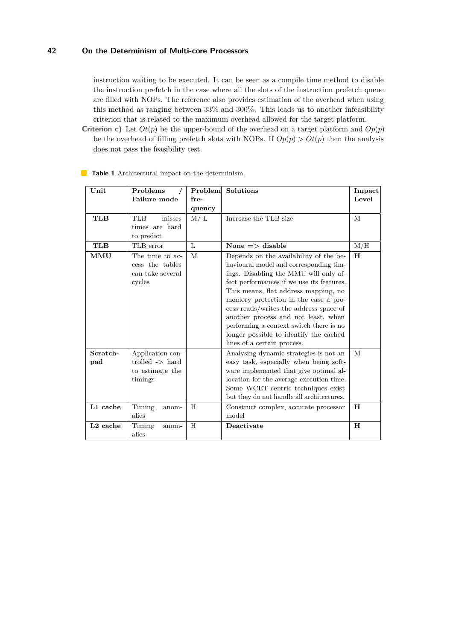instruction waiting to be executed. It can be seen as a compile time method to disable the instruction prefetch in the case where all the slots of the instruction prefetch queue are filled with NOPs. The reference also provides estimation of the overhead when using this method as ranging between 33% and 300%. This leads us to another infeasibility criterion that is related to the maximum overhead allowed for the target platform.

**Criterion c)** Let  $Ot(p)$  be the upper-bound of the overhead on a target platform and  $Op(p)$ be the overhead of filling prefetch slots with NOPs. If  $Op(p) > Ot(p)$  then the analysis does not pass the feasibility test.

| Unit            | Problems<br>Failure mode                                                     | Problem<br>fre- | <b>Solutions</b>                                                                                                                                                                                                                                                                                                                                                                                                                                            | Impact<br>Level |
|-----------------|------------------------------------------------------------------------------|-----------------|-------------------------------------------------------------------------------------------------------------------------------------------------------------------------------------------------------------------------------------------------------------------------------------------------------------------------------------------------------------------------------------------------------------------------------------------------------------|-----------------|
|                 |                                                                              | quency          |                                                                                                                                                                                                                                                                                                                                                                                                                                                             |                 |
| <b>TLB</b>      | <b>TLB</b><br>misses<br>times are hard<br>to predict                         | M/L             | Increase the TLB size                                                                                                                                                                                                                                                                                                                                                                                                                                       | M               |
| <b>TLB</b>      | TLB error                                                                    | $\mathbf{L}$    | None $\Rightarrow$ disable                                                                                                                                                                                                                                                                                                                                                                                                                                  | M/H             |
| MMU             | The time to ac-<br>cess the tables<br>can take several<br>cycles             | M               | Depends on the availability of the be-<br>havioural model and corresponding tim-<br>ings. Disabling the MMU will only af-<br>fect performances if we use its features.<br>This means, flat address mapping, no<br>memory protection in the case a pro-<br>cess reads/writes the address space of<br>another process and not least, when<br>performing a context switch there is no<br>longer possible to identify the cached<br>lines of a certain process. | H               |
| Scratch-<br>pad | Application con-<br>trolled $\rightarrow$ hard<br>to estimate the<br>timings |                 | Analysing dynamic strategies is not an<br>easy task, especially when being soft-<br>ware implemented that give optimal al-<br>location for the average execution time.<br>Some WCET-centric techniques exist<br>but they do not handle all architectures.                                                                                                                                                                                                   | M               |
| L1 cache        | Timing<br>anom-<br>alies                                                     | H               | Construct complex, accurate processor<br>model                                                                                                                                                                                                                                                                                                                                                                                                              | H               |
| $L2$ cache      | Timing<br>anom-<br>alies                                                     | H               | Deactivate                                                                                                                                                                                                                                                                                                                                                                                                                                                  | H               |

**Table 1** Architectural impact on the determinism.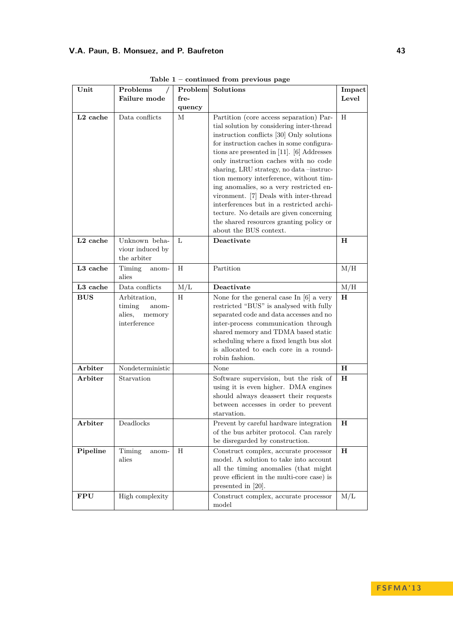| Unit                 | Problems                                                            | Problem | Solutions                                                                                                                                                                                                                                                                                                                                                                                                                                                                                                                                                                                                      | Impact      |
|----------------------|---------------------------------------------------------------------|---------|----------------------------------------------------------------------------------------------------------------------------------------------------------------------------------------------------------------------------------------------------------------------------------------------------------------------------------------------------------------------------------------------------------------------------------------------------------------------------------------------------------------------------------------------------------------------------------------------------------------|-------------|
|                      | Failure mode                                                        | fre-    |                                                                                                                                                                                                                                                                                                                                                                                                                                                                                                                                                                                                                | Level       |
|                      |                                                                     | quency  |                                                                                                                                                                                                                                                                                                                                                                                                                                                                                                                                                                                                                |             |
| L <sub>2</sub> cache | Data conflicts                                                      | М       | Partition (core access separation) Par-<br>tial solution by considering inter-thread<br>instruction conflicts [30] Only solutions<br>for instruction caches in some configura-<br>tions are presented in $[11]$ . [6] Addresses<br>only instruction caches with no code<br>sharing, LRU strategy, no data-instruc-<br>tion memory interference, without tim-<br>ing anomalies, so a very restricted en-<br>vironment. [7] Deals with inter-thread<br>interferences but in a restricted archi-<br>tecture. No details are given concerning<br>the shared resources granting policy or<br>about the BUS context. | H           |
| L <sub>2</sub> cache | Unknown beha-<br>viour induced by<br>the arbiter                    | L       | Deactivate                                                                                                                                                                                                                                                                                                                                                                                                                                                                                                                                                                                                     | H           |
| L3 cache             | Timing<br>anom-<br>alies                                            | Η       | Partition                                                                                                                                                                                                                                                                                                                                                                                                                                                                                                                                                                                                      | M/H         |
| L3 cache             | Data conflicts                                                      | M/L     | Deactivate                                                                                                                                                                                                                                                                                                                                                                                                                                                                                                                                                                                                     | M/H         |
| <b>BUS</b>           | Arbitration,<br>timing<br>anom-<br>alies,<br>memory<br>interference | H       | None for the general case In $[6]$ a very<br>restricted "BUS" is analysed with fully<br>separated code and data accesses and no<br>inter-process communication through<br>shared memory and TDMA based static<br>scheduling where a fixed length bus slot<br>is allocated to each core in a round-<br>robin fashion.                                                                                                                                                                                                                                                                                           | $\mathbf H$ |
| Arbiter              | Nondeterministic                                                    |         | None                                                                                                                                                                                                                                                                                                                                                                                                                                                                                                                                                                                                           | $\mathbf H$ |
| Arbiter              | Starvation                                                          |         | Software supervision, but the risk of<br>using it is even higher. DMA engines<br>should always deassert their requests<br>between accesses in order to prevent<br>starvation.                                                                                                                                                                                                                                                                                                                                                                                                                                  | н           |
| ${\rm Arbiter}$      | Deadlocks                                                           |         | Prevent by careful hardware integration<br>of the bus arbiter protocol. Can rarely<br>be disregarded by construction.                                                                                                                                                                                                                                                                                                                                                                                                                                                                                          | н           |
| Pipeline             | Timing<br>anom-<br>alies                                            | Н       | Construct complex, accurate processor<br>model. A solution to take into account<br>all the timing anomalies (that might<br>prove efficient in the multi-core case) is<br>presented in [20].                                                                                                                                                                                                                                                                                                                                                                                                                    | $\mathbf H$ |
| <b>FPU</b>           | High complexity                                                     |         | Construct complex, accurate processor<br>model                                                                                                                                                                                                                                                                                                                                                                                                                                                                                                                                                                 | M/L         |

**Table 1 – continued from previous page**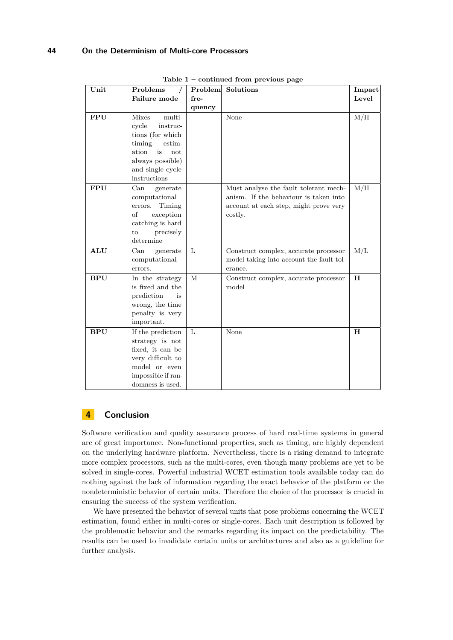| Unit       | Problems                                                                                                                                                          | Problem | Solutions                                                                                                                           | Impact      |
|------------|-------------------------------------------------------------------------------------------------------------------------------------------------------------------|---------|-------------------------------------------------------------------------------------------------------------------------------------|-------------|
|            | Failure mode                                                                                                                                                      | fre-    |                                                                                                                                     | Level       |
|            |                                                                                                                                                                   | quency  |                                                                                                                                     |             |
| <b>FPU</b> | multi-<br><b>Mixes</b><br>cycle<br>instruc-<br>tions (for which<br>timing<br>estim-<br>ation<br>is<br>not<br>always possible)<br>and single cycle<br>instructions |         | None                                                                                                                                | M/H         |
| <b>FPU</b> | Can<br>generate<br>computational<br>Timing<br>errors.<br>οf<br>exception<br>catching is hard<br>to<br>precisely<br>determine                                      |         | Must analyse the fault tolerant mech-<br>anism. If the behaviour is taken into<br>account at each step, might prove very<br>costly. | M/H         |
| <b>ALU</b> | Can<br>generate<br>computational<br>errors.                                                                                                                       | L       | Construct complex, accurate processor<br>model taking into account the fault tol-<br>erance.                                        | M/L         |
| <b>BPU</b> | In the strategy<br>is fixed and the<br>prediction<br>is<br>wrong, the time<br>penalty is very<br>important.                                                       | M       | Construct complex, accurate processor<br>model                                                                                      | $\mathbf H$ |
| <b>BPU</b> | If the prediction<br>strategy is not<br>fixed, it can be<br>very difficult to<br>model or even<br>impossible if ran-<br>domness is used.                          | L       | None                                                                                                                                | $\mathbf H$ |

**Table 1 – continued from previous page**

# <span id="page-12-0"></span>**4 Conclusion**

Software verification and quality assurance process of hard real-time systems in general are of great importance. Non-functional properties, such as timing, are highly dependent on the underlying hardware platform. Nevertheless, there is a rising demand to integrate more complex processors, such as the multi-cores, even though many problems are yet to be solved in single-cores. Powerful industrial WCET estimation tools available today can do nothing against the lack of information regarding the exact behavior of the platform or the nondeterministic behavior of certain units. Therefore the choice of the processor is crucial in ensuring the success of the system verification.

We have presented the behavior of several units that pose problems concerning the WCET estimation, found either in multi-cores or single-cores. Each unit description is followed by the problematic behavior and the remarks regarding its impact on the predictability. The results can be used to invalidate certain units or architectures and also as a guideline for further analysis.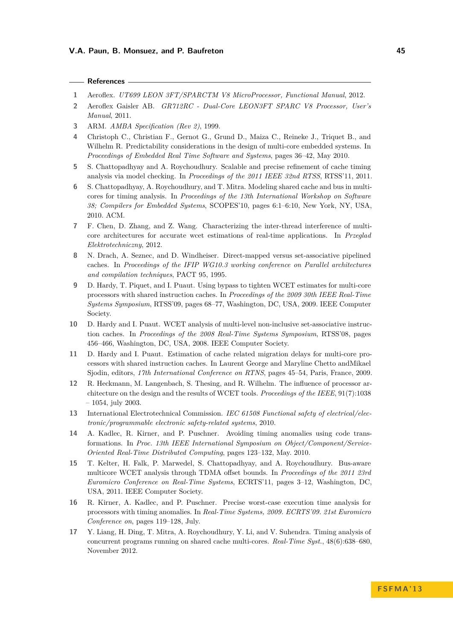- <span id="page-13-11"></span>**1** Aeroflex. *UT699 LEON 3FT/SPARCTM V8 MicroProcessor, Functional Manual*, 2012.
- <span id="page-13-13"></span>**2** Aeroflex Gaisler AB. *GR712RC - Dual-Core LEON3FT SPARC V8 Processor, User's Manual*, 2011.
- <span id="page-13-12"></span>**3** ARM. *AMBA Specification (Rev 2)*, 1999.
- <span id="page-13-8"></span>**4** Christoph C., Christian F., Gernot G., Grund D., Maiza C., Reineke J., Triquet B., and Wilhelm R. Predictability considerations in the design of multi-core embedded systems. In *Proceedings of Embedded Real Time Software and Systems*, pages 36–42, May 2010.
- <span id="page-13-2"></span>**5** S. Chattopadhyay and A. Roychoudhury. Scalable and precise refinement of cache timing analysis via model checking. In *Proceedings of the 2011 IEEE 32nd RTSS*, RTSS'11, 2011.
- <span id="page-13-1"></span>**6** S. Chattopadhyay, A. Roychoudhury, and T. Mitra. Modeling shared cache and bus in multicores for timing analysis. In *Proceedings of the 13th International Workshop on Software 38; Compilers for Embedded Systems*, SCOPES'10, pages 6:1–6:10, New York, NY, USA, 2010. ACM.
- <span id="page-13-16"></span>**7** F. Chen, D. Zhang, and Z. Wang. Characterizing the inter-thread interference of multicore architectures for accurate wcet estimations of real-time applications. In *Przeglad Elektrotechniczny*, 2012.
- <span id="page-13-9"></span>**8** N. Drach, A. Seznec, and D. Windheiser. Direct-mapped versus set-associative pipelined caches. In *Proceedings of the IFIP WG10.3 working conference on Parallel architectures and compilation techniques*, PACT 95, 1995.
- <span id="page-13-7"></span>**9** D. Hardy, T. Piquet, and I. Puaut. Using bypass to tighten WCET estimates for multi-core processors with shared instruction caches. In *Proceedings of the 2009 30th IEEE Real-Time Systems Symposium*, RTSS'09, pages 68–77, Washington, DC, USA, 2009. IEEE Computer Society.
- <span id="page-13-6"></span>**10** D. Hardy and I. Puaut. WCET analysis of multi-level non-inclusive set-associative instruction caches. In *Proceedings of the 2008 Real-Time Systems Symposium*, RTSS'08, pages 456–466, Washington, DC, USA, 2008. IEEE Computer Society.
- <span id="page-13-5"></span>**11** D. Hardy and I. Puaut. Estimation of cache related migration delays for multi-core processors with shared instruction caches. In Laurent George and Maryline Chetto andMikael Sjodin, editors, *17th International Conference on RTNS*, pages 45–54, Paris, France, 2009.
- <span id="page-13-10"></span>**12** R. Heckmann, M. Langenbach, S. Thesing, and R. Wilhelm. The influence of processor architecture on the design and the results of WCET tools. *Proceedings of the IEEE*, 91(7):1038 – 1054, july 2003.
- <span id="page-13-0"></span>**13** International Electrotechnical Commission. *IEC 61508 Functional safety of electrical/electronic/programmable electronic safety-related systems*, 2010.
- <span id="page-13-15"></span>**14** A. Kadlec, R. Kirner, and P. Puschner. Avoiding timing anomalies using code transformations. In *Proc. 13th IEEE International Symposium on Object/Component/Service-Oriented Real-Time Distributed Computing*, pages 123–132, May. 2010.
- <span id="page-13-3"></span>**15** T. Kelter, H. Falk, P. Marwedel, S. Chattopadhyay, and A. Roychoudhury. Bus-aware multicore WCET analysis through TDMA offset bounds. In *Proceedings of the 2011 23rd Euromicro Conference on Real-Time Systems*, ECRTS'11, pages 3–12, Washington, DC, USA, 2011. IEEE Computer Society.
- <span id="page-13-14"></span>**16** R. Kirner, A. Kadlec, and P. Puschner. Precise worst-case execution time analysis for processors with timing anomalies. In *Real-Time Systems, 2009. ECRTS'09. 21st Euromicro Conference on*, pages 119–128, July.
- <span id="page-13-4"></span>**17** Y. Liang, H. Ding, T. Mitra, A. Roychoudhury, Y. Li, and V. Suhendra. Timing analysis of concurrent programs running on shared cache multi-cores. *Real-Time Syst.*, 48(6):638–680, November 2012.